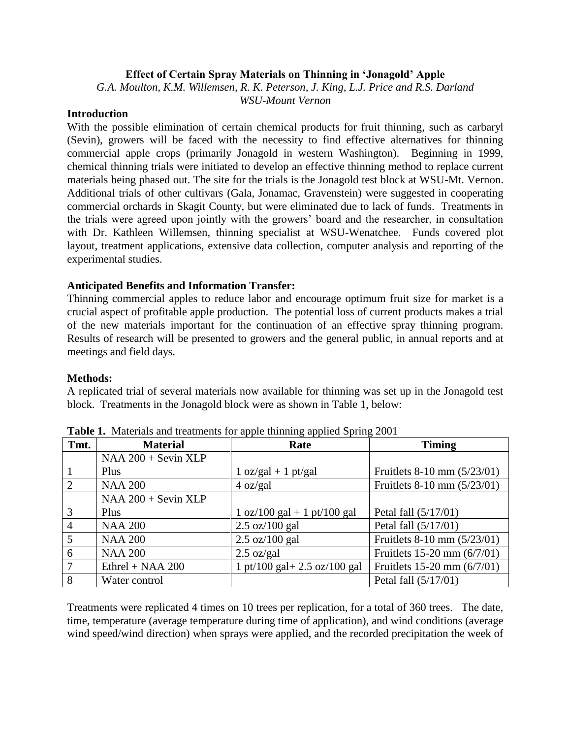## **Effect of Certain Spray Materials on Thinning in 'Jonagold' Apple**

*G.A. Moulton, K.M. Willemsen, R. K. Peterson, J. King, L.J. Price and R.S. Darland WSU-Mount Vernon*

# **Introduction**

With the possible elimination of certain chemical products for fruit thinning, such as carbaryl (Sevin), growers will be faced with the necessity to find effective alternatives for thinning commercial apple crops (primarily Jonagold in western Washington). Beginning in 1999, chemical thinning trials were initiated to develop an effective thinning method to replace current materials being phased out. The site for the trials is the Jonagold test block at WSU-Mt. Vernon. Additional trials of other cultivars (Gala, Jonamac, Gravenstein) were suggested in cooperating commercial orchards in Skagit County, but were eliminated due to lack of funds. Treatments in the trials were agreed upon jointly with the growers' board and the researcher, in consultation with Dr. Kathleen Willemsen, thinning specialist at WSU-Wenatchee. Funds covered plot layout, treatment applications, extensive data collection, computer analysis and reporting of the experimental studies.

### **Anticipated Benefits and Information Transfer:**

Thinning commercial apples to reduce labor and encourage optimum fruit size for market is a crucial aspect of profitable apple production. The potential loss of current products makes a trial of the new materials important for the continuation of an effective spray thinning program. Results of research will be presented to growers and the general public, in annual reports and at meetings and field days.

#### **Methods:**

A replicated trial of several materials now available for thinning was set up in the Jonagold test block. Treatments in the Jonagold block were as shown in Table 1, below:

| Tmt. | <b>Material</b>       | $m_{\rm H}$ are accurated to the substituting up prove $\approx$ product<br>Rate | <b>Timing</b>                   |
|------|-----------------------|----------------------------------------------------------------------------------|---------------------------------|
|      | $NAA 200 + Sevin XLP$ |                                                                                  |                                 |
|      | Plus                  | $1 oz/gal + 1 pt/gal$                                                            | Fruitlets 8-10 mm (5/23/01)     |
| 2    | <b>NAA 200</b>        | 4 oz/gal                                                                         | Fruitlets 8-10 mm (5/23/01)     |
|      | $NAA 200 + Sevin XLP$ |                                                                                  |                                 |
| 3    | Plus                  | $1 oz/100 gal + 1 pt/100 gal$                                                    | Petal fall (5/17/01)            |
| 4    | <b>NAA 200</b>        | $2.5 \text{ oz}/100 \text{ gal}$                                                 | Petal fall (5/17/01)            |
| 5    | <b>NAA 200</b>        | $2.5 \text{ oz}/100 \text{ gal}$                                                 | Fruitlets 8-10 mm (5/23/01)     |
| 6    | <b>NAA 200</b>        | $2.5 \text{ oz/gal}$                                                             | Fruitlets $15-20$ mm $(6/7/01)$ |
|      | $Ethrel + NAA 200$    | 1 pt/100 gal + 2.5 oz/100 gal                                                    | Fruitlets 15-20 mm (6/7/01)     |
| 8    | Water control         |                                                                                  | Petal fall (5/17/01)            |

**Table 1.** Materials and treatments for apple thinning applied Spring 2001

Treatments were replicated 4 times on 10 trees per replication, for a total of 360 trees. The date, time, temperature (average temperature during time of application), and wind conditions (average wind speed/wind direction) when sprays were applied, and the recorded precipitation the week of